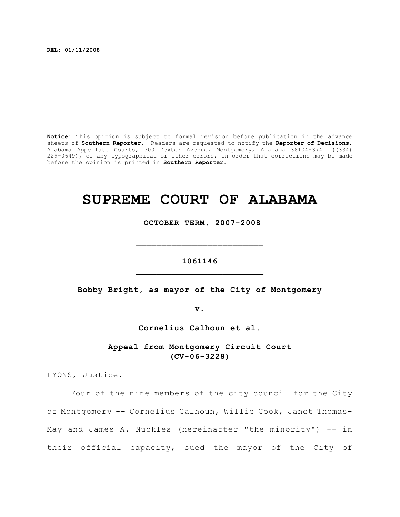**REL: 01/11/2008**

**Notice:** This opinion is subject to formal revision before publication in the advance sheets of **Southern Reporter**. Readers are requested to notify the **Reporter of Decisions**, Alabama Appellate Courts, 300 Dexter Avenue, Montgomery, Alabama 36104-3741 ((334) 229-0649), of any typographical or other errors, in order that corrections may be made before the opinion is printed in **Southern Reporter**.

# **SUPREME COURT OF ALABAMA**

 **OCTOBER TERM, 2007-2008**

# **1061146 \_\_\_\_\_\_\_\_\_\_\_\_\_\_\_\_\_\_\_\_\_\_\_\_\_**

**\_\_\_\_\_\_\_\_\_\_\_\_\_\_\_\_\_\_\_\_\_\_\_\_\_**

**Bobby Bright, as mayor of the City of Montgomery**

**v.**

**Cornelius Calhoun et al.**

**Appeal from Montgomery Circuit Court (CV-06-3228)**

LYONS, Justice.

Four of the nine members of the city council for the City of Montgomery -- Cornelius Calhoun, Willie Cook, Janet Thomas-May and James A. Nuckles (hereinafter "the minority") -- in their official capacity, sued the mayor of the City of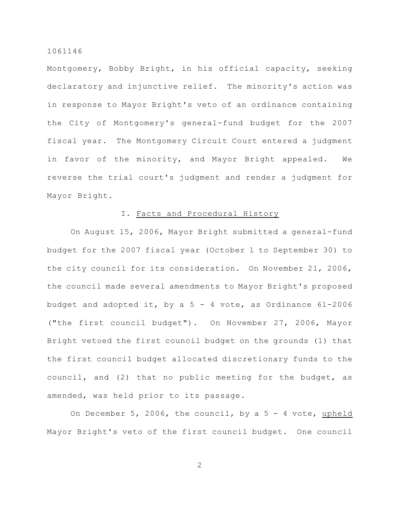Montgomery, Bobby Bright, in his official capacity, seeking declaratory and injunctive relief. The minority's action was in response to Mayor Bright's veto of an ordinance containing the City of Montgomery's general-fund budget for the 2007 fiscal year. The Montgomery Circuit Court entered a judgment in favor of the minority, and Mayor Bright appealed. We reverse the trial court's judgment and render a judgment for Mayor Bright.

# I. Facts and Procedural History

On August 15, 2006, Mayor Bright submitted a general-fund budget for the 2007 fiscal year (October 1 to September 30) to the city council for its consideration. On November 21, 2006, the council made several amendments to Mayor Bright's proposed budget and adopted it, by a  $5 - 4$  vote, as Ordinance  $61-2006$ ("the first council budget"). On November 27, 2006, Mayor Bright vetoed the first council budget on the grounds (1) that the first council budget allocated discretionary funds to the council, and (2) that no public meeting for the budget, as amended, was held prior to its passage.

On December 5, 2006, the council, by a  $5 - 4$  vote, upheld Mayor Bright's veto of the first council budget. One council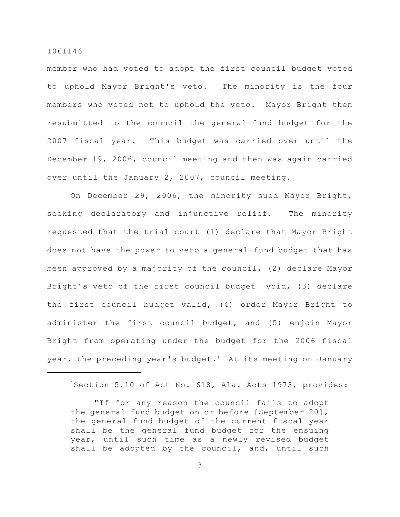member who had voted to adopt the first council budget voted to uphold Mayor Bright's veto. The minority is the four members who voted not to uphold the veto. Mayor Bright then resubmitted to the council the general-fund budget for the 2007 fiscal year. This budget was carried over until the December 19, 2006, council meeting and then was again carried over until the January 2, 2007, council meeting.

On December 29, 2006, the minority sued Mayor Bright, seeking declaratory and injunctive relief. The minority requested that the trial court (1) declare that Mayor Bright does not have the power to veto a general-fund budget that has been approved by a majority of the council, (2) declare Mayor Bright's veto of the first council budget void, (3) declare the first council budget valid, (4) order Mayor Bright to administer the first council budget, and (5) enjoin Mayor Bright from operating under the budget for the 2006 fiscal year, the preceding year's budget.<sup>1</sup> At its meeting on January

 $1$ Section 5.10 of Act No. 618, Ala. Acts 1973, provides:

<sup>&</sup>quot;If for any reason the council fails to adopt the general fund budget on or before [September 20], the general fund budget of the current fiscal year shall be the general fund budget for the ensuing year, until such time as a newly revised budget shall be adopted by the council, and, until such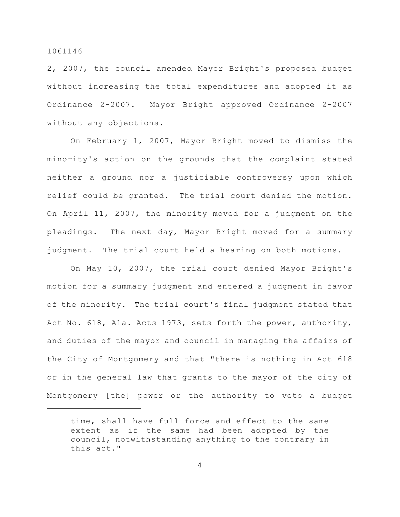2, 2007, the council amended Mayor Bright's proposed budget without increasing the total expenditures and adopted it as Ordinance 2-2007. Mayor Bright approved Ordinance 2-2007 without any objections.

On February 1, 2007, Mayor Bright moved to dismiss the minority's action on the grounds that the complaint stated neither a ground nor a justiciable controversy upon which relief could be granted. The trial court denied the motion. On April 11, 2007, the minority moved for a judgment on the pleadings. The next day, Mayor Bright moved for a summary judgment. The trial court held a hearing on both motions.

On May 10, 2007, the trial court denied Mayor Bright's motion for a summary judgment and entered a judgment in favor of the minority. The trial court's final judgment stated that Act No. 618, Ala. Acts 1973, sets forth the power, authority, and duties of the mayor and council in managing the affairs of the City of Montgomery and that "there is nothing in Act 618 or in the general law that grants to the mayor of the city of Montgomery [the] power or the authority to veto a budget

time, shall have full force and effect to the same extent as if the same had been adopted by the council, notwithstanding anything to the contrary in this act."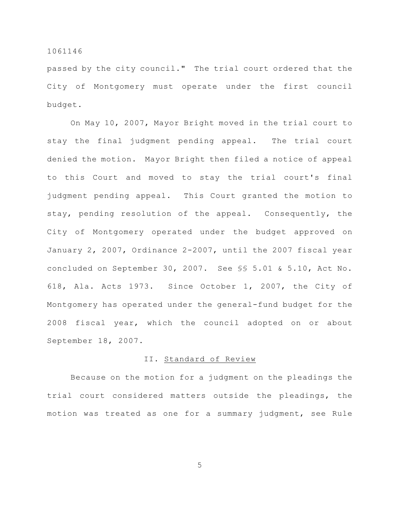passed by the city council." The trial court ordered that the City of Montgomery must operate under the first council budget.

On May 10, 2007, Mayor Bright moved in the trial court to stay the final judgment pending appeal. The trial court denied the motion. Mayor Bright then filed a notice of appeal to this Court and moved to stay the trial court's final judgment pending appeal. This Court granted the motion to stay, pending resolution of the appeal. Consequently, the City of Montgomery operated under the budget approved on January 2, 2007, Ordinance 2-2007, until the 2007 fiscal year concluded on September 30, 2007. See §§ 5.01 & 5.10, Act No. 618, Ala. Acts 1973. Since October 1, 2007, the City of Montgomery has operated under the general-fund budget for the 2008 fiscal year, which the council adopted on or about September 18, 2007.

# II. Standard of Review

Because on the motion for a judgment on the pleadings the trial court considered matters outside the pleadings, the motion was treated as one for a summary judgment, see Rule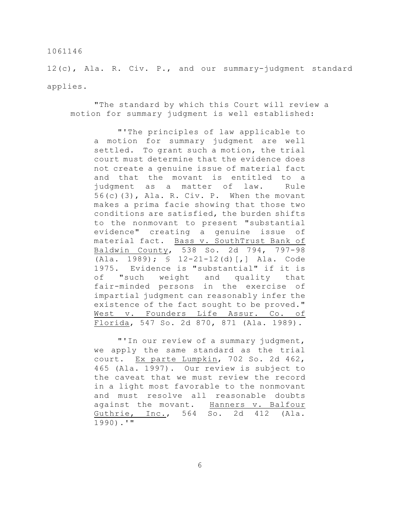12(c), Ala. R. Civ. P., and our summary-judgment standard applies.

"The standard by which this Court will review a motion for summary judgment is well established:

"'The principles of law applicable to a motion for summary judgment are well settled. To grant such a motion, the trial court must determine that the evidence does not create a genuine issue of material fact and that the movant is entitled to a judgment as a matter of law. Rule 56(c)(3), Ala. R. Civ. P. When the movant makes a prima facie showing that those two conditions are satisfied, the burden shifts to the nonmovant to present "substantial evidence" creating a genuine issue of material fact. Bass v. SouthTrust Bank of Baldwin County, 538 So. 2d 794, 797-98 (Ala. 1989); § 12-21-12(d)[,] Ala. Code 1975. Evidence is "substantial" if it is of "such weight and quality that fair-minded persons in the exercise of impartial judgment can reasonably infer the existence of the fact sought to be proved." West v. Founders Life Assur. Co. of Florida, 547 So. 2d 870, 871 (Ala. 1989).

"'In our review of a summary judgment, we apply the same standard as the trial court. Ex parte Lumpkin, 702 So. 2d 462, 465 (Ala. 1997). Our review is subject to the caveat that we must review the record in a light most favorable to the nonmovant and must resolve all reasonable doubts against the movant. Hanners v. Balfour Guthrie, Inc., 564 So. 2d 412 (Ala. 1990).'"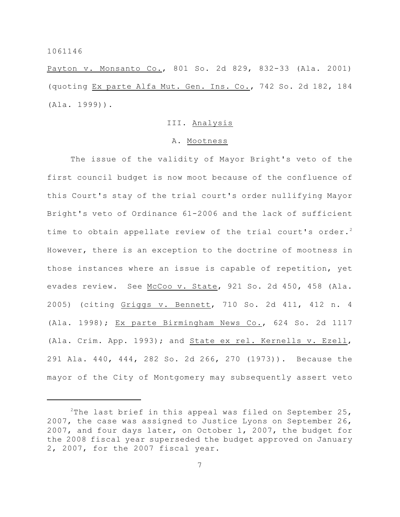Payton v. Monsanto Co., 801 So. 2d 829, 832-33 (Ala. 2001) (quoting Ex parte Alfa Mut. Gen. Ins. Co., 742 So. 2d 182, 184 (Ala. 1999)).

## III. Analysis

### A. Mootness

The issue of the validity of Mayor Bright's veto of the first council budget is now moot because of the confluence of this Court's stay of the trial court's order nullifying Mayor Bright's veto of Ordinance 61-2006 and the lack of sufficient time to obtain appellate review of the trial court's order.<sup>2</sup> However, there is an exception to the doctrine of mootness in those instances where an issue is capable of repetition, yet evades review. See McCoo v. State, 921 So. 2d 450, 458 (Ala. 2005) (citing Griggs v. Bennett, 710 So. 2d 411, 412 n. 4 (Ala. 1998); Ex parte Birmingham News Co., 624 So. 2d 1117 (Ala. Crim. App. 1993); and State ex rel. Kernells v. Ezell, 291 Ala. 440, 444, 282 So. 2d 266, 270 (1973)). Because the mayor of the City of Montgomery may subsequently assert veto

<sup>&</sup>lt;sup>2</sup>The last brief in this appeal was filed on September 25, 2007, the case was assigned to Justice Lyons on September 26, 2007, and four days later, on October 1, 2007, the budget for the 2008 fiscal year superseded the budget approved on January 2, 2007, for the 2007 fiscal year.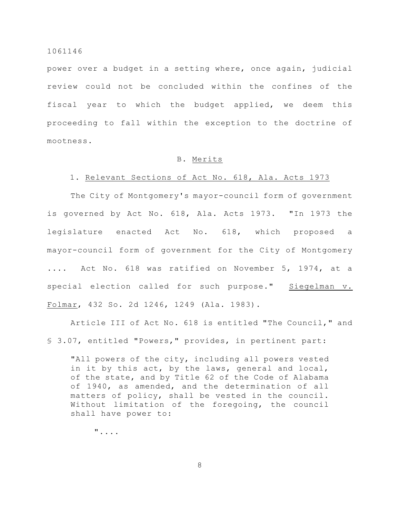power over a budget in a setting where, once again, judicial review could not be concluded within the confines of the fiscal year to which the budget applied, we deem this proceeding to fall within the exception to the doctrine of mootness.

### B. Merits

# 1. Relevant Sections of Act No. 618, Ala. Acts 1973

The City of Montgomery's mayor-council form of government is governed by Act No. 618, Ala. Acts 1973. "In 1973 the legislature enacted Act No. 618, which proposed a mayor-council form of government for the City of Montgomery .... Act No. 618 was ratified on November 5, 1974, at a special election called for such purpose." Siegelman v. Folmar, 432 So. 2d 1246, 1249 (Ala. 1983).

Article III of Act No. 618 is entitled "The Council," and § 3.07, entitled "Powers," provides, in pertinent part:

"All powers of the city, including all powers vested in it by this act, by the laws, general and local, of the state, and by Title 62 of the Code of Alabama of 1940, as amended, and the determination of all matters of policy, shall be vested in the council. Without limitation of the foregoing, the council shall have power to:

"....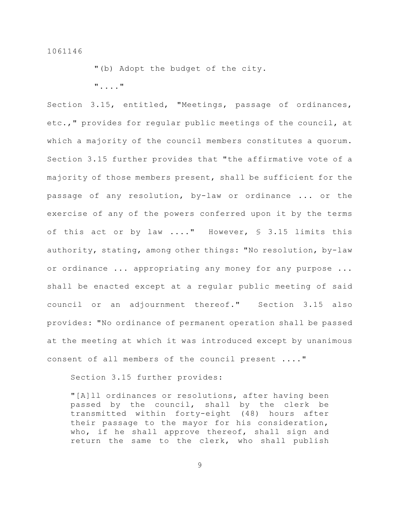"(b) Adopt the budget of the city.

"...."

Section 3.15, entitled, "Meetings, passage of ordinances, etc.," provides for regular public meetings of the council, at which a majority of the council members constitutes a quorum. Section 3.15 further provides that "the affirmative vote of a majority of those members present, shall be sufficient for the passage of any resolution, by-law or ordinance ... or the exercise of any of the powers conferred upon it by the terms of this act or by law ...." However, § 3.15 limits this authority, stating, among other things: "No resolution, by-law or ordinance ... appropriating any money for any purpose ... shall be enacted except at a regular public meeting of said council or an adjournment thereof." Section 3.15 also provides: "No ordinance of permanent operation shall be passed at the meeting at which it was introduced except by unanimous consent of all members of the council present ...."

Section 3.15 further provides:

"[A]ll ordinances or resolutions, after having been passed by the council, shall by the clerk be transmitted within forty-eight (48) hours after their passage to the mayor for his consideration, who, if he shall approve thereof, shall sign and return the same to the clerk, who shall publish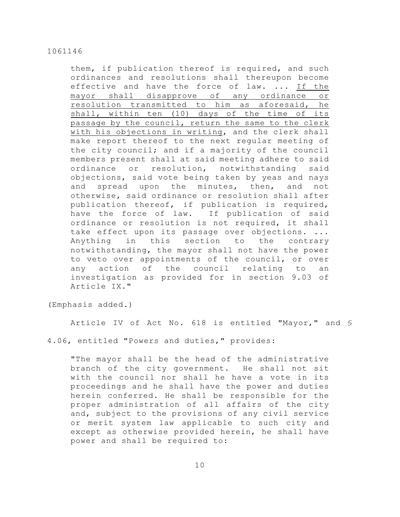them, if publication thereof is required, and such ordinances and resolutions shall thereupon become effective and have the force of law. ... If the mayor shall disapprove of any ordinance or resolution transmitted to him as aforesaid, he shall, within ten (10) days of the time of its passage by the council, return the same to the clerk with his objections in writing, and the clerk shall make report thereof to the next regular meeting of the city council; and if a majority of the council members present shall at said meeting adhere to said ordinance or resolution, notwithstanding said objections, said vote being taken by yeas and nays and spread upon the minutes, then, and not otherwise, said ordinance or resolution shall after publication thereof, if publication is required, have the force of law. If publication of said ordinance or resolution is not required, it shall take effect upon its passage over objections. ... Anything in this section to the contrary notwithstanding, the mayor shall not have the power to veto over appointments of the council, or over any action of the council relating to an investigation as provided for in section 9.03 of Article IX."

(Emphasis added.)

Article IV of Act No. 618 is entitled "Mayor," and §

4.06, entitled "Powers and duties," provides:

"The mayor shall be the head of the administrative branch of the city government. He shall not sit with the council nor shall he have a vote in its proceedings and he shall have the power and duties herein conferred. He shall be responsible for the proper administration of all affairs of the city and, subject to the provisions of any civil service or merit system law applicable to such city and except as otherwise provided herein, he shall have power and shall be required to: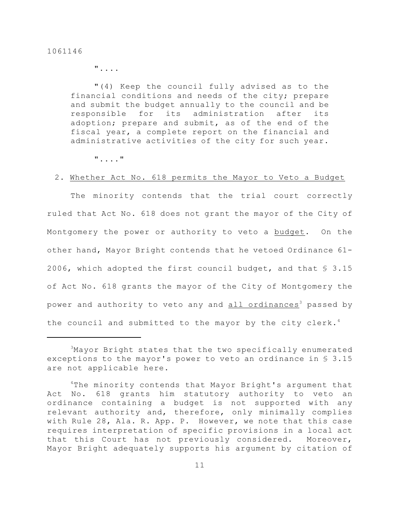"....

"(4) Keep the council fully advised as to the financial conditions and needs of the city; prepare and submit the budget annually to the council and be responsible for its administration after its adoption; prepare and submit, as of the end of the fiscal year, a complete report on the financial and administrative activities of the city for such year.

"...."

### 2. Whether Act No. 618 permits the Mayor to Veto a Budget

The minority contends that the trial court correctly ruled that Act No. 618 does not grant the mayor of the City of Montgomery the power or authority to veto a budget. On the other hand, Mayor Bright contends that he vetoed Ordinance 61- 2006, which adopted the first council budget, and that § 3.15 of Act No. 618 grants the mayor of the City of Montgomery the power and authority to veto any and all ordinances<sup>3</sup> passed by the council and submitted to the mayor by the city clerk.<sup>4</sup>

<sup>&</sup>lt;sup>3</sup>Mayor Bright states that the two specifically enumerated exceptions to the mayor's power to veto an ordinance in § 3.15 are not applicable here.

 $4$ The minority contends that Mayor Bright's argument that Act No. 618 grants him statutory authority to veto an ordinance containing a budget is not supported with any relevant authority and, therefore, only minimally complies with Rule 28, Ala. R. App. P. However, we note that this case requires interpretation of specific provisions in a local act that this Court has not previously considered. Moreover, Mayor Bright adequately supports his argument by citation of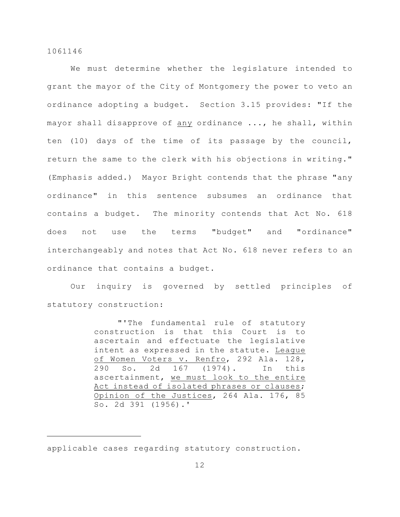We must determine whether the legislature intended to grant the mayor of the City of Montgomery the power to veto an ordinance adopting a budget. Section 3.15 provides: "If the mayor shall disapprove of any ordinance ..., he shall, within ten (10) days of the time of its passage by the council, return the same to the clerk with his objections in writing." (Emphasis added.) Mayor Bright contends that the phrase "any ordinance" in this sentence subsumes an ordinance that contains a budget. The minority contends that Act No. 618 does not use the terms "budget" and "ordinance" interchangeably and notes that Act No. 618 never refers to an ordinance that contains a budget.

Our inquiry is governed by settled principles of statutory construction:

> "'The fundamental rule of statutory construction is that this Court is to ascertain and effectuate the legislative intent as expressed in the statute. League of Women Voters v. Renfro, 292 Ala. 128, 290 So. 2d 167 (1974). In this ascertainment, we must look to the entire Act instead of isolated phrases or clauses; Opinion of the Justices, 264 Ala. 176, 85 So. 2d 391 (1956).'

applicable cases regarding statutory construction.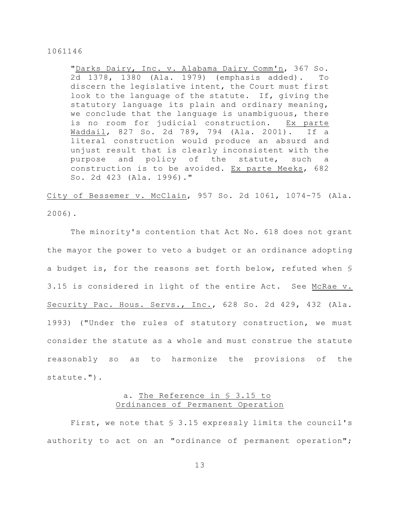"Darks Dairy, Inc. v. Alabama Dairy Comm'n, 367 So. 2d 1378, 1380 (Ala. 1979) (emphasis added). To discern the legislative intent, the Court must first look to the language of the statute. If, giving the statutory language its plain and ordinary meaning, we conclude that the language is unambiguous, there is no room for judicial construction. Ex parte Waddail, 827 So. 2d 789, 794 (Ala. 2001). If a literal construction would produce an absurd and unjust result that is clearly inconsistent with the purpose and policy of the statute, such a construction is to be avoided. Ex parte Meeks, 682 So. 2d 423 (Ala. 1996)."

City of Bessemer v. McClain, 957 So. 2d 1061, 1074-75 (Ala. 2006).

The minority's contention that Act No. 618 does not grant the mayor the power to veto a budget or an ordinance adopting a budget is, for the reasons set forth below, refuted when § 3.15 is considered in light of the entire Act. See McRae v. Security Pac. Hous. Servs., Inc., 628 So. 2d 429, 432 (Ala. 1993) ("Under the rules of statutory construction, we must consider the statute as a whole and must construe the statute reasonably so as to harmonize the provisions of the statute.").

# a. The Reference in § 3.15 to Ordinances of Permanent Operation

First, we note that § 3.15 expressly limits the council's authority to act on an "ordinance of permanent operation";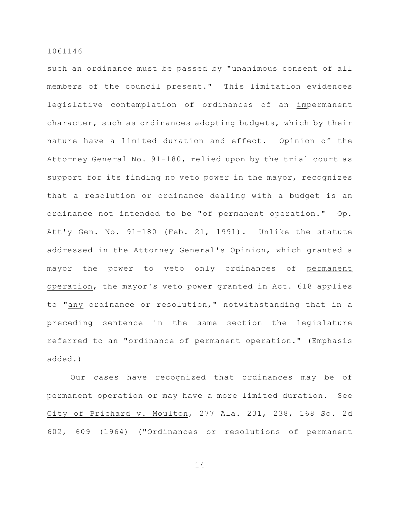such an ordinance must be passed by "unanimous consent of all members of the council present." This limitation evidences legislative contemplation of ordinances of an impermanent character, such as ordinances adopting budgets, which by their nature have a limited duration and effect. Opinion of the Attorney General No. 91-180, relied upon by the trial court as support for its finding no veto power in the mayor, recognizes that a resolution or ordinance dealing with a budget is an ordinance not intended to be "of permanent operation." Op. Att'y Gen. No. 91-180 (Feb. 21, 1991). Unlike the statute addressed in the Attorney General's Opinion, which granted a mayor the power to veto only ordinances of permanent operation, the mayor's veto power granted in Act. 618 applies to "any ordinance or resolution," notwithstanding that in a preceding sentence in the same section the legislature referred to an "ordinance of permanent operation." (Emphasis added.)

Our cases have recognized that ordinances may be of permanent operation or may have a more limited duration. See City of Prichard v. Moulton, 277 Ala. 231, 238, 168 So. 2d 602, 609 (1964) ("Ordinances or resolutions of permanent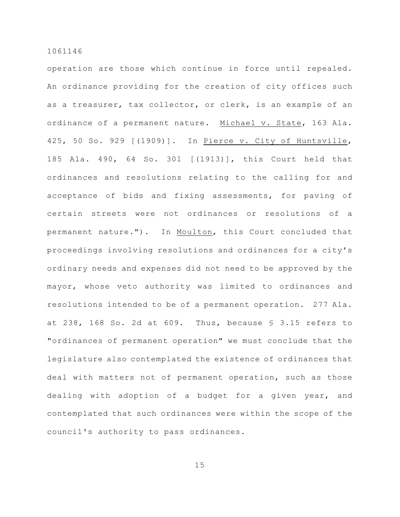operation are those which continue in force until repealed. An ordinance providing for the creation of city offices such as a treasurer, tax collector, or clerk, is an example of an ordinance of a permanent nature. Michael v. State, 163 Ala. 425, 50 So. 929 [(1909)]. In Pierce v. City of Huntsville, 185 Ala. 490, 64 So. 301 [(1913)], this Court held that ordinances and resolutions relating to the calling for and acceptance of bids and fixing assessments, for paving of certain streets were not ordinances or resolutions of a permanent nature."). In Moulton, this Court concluded that proceedings involving resolutions and ordinances for a city's ordinary needs and expenses did not need to be approved by the mayor, whose veto authority was limited to ordinances and resolutions intended to be of a permanent operation. 277 Ala. at 238, 168 So. 2d at 609. Thus, because § 3.15 refers to "ordinances of permanent operation" we must conclude that the legislature also contemplated the existence of ordinances that deal with matters not of permanent operation, such as those dealing with adoption of a budget for a given year, and contemplated that such ordinances were within the scope of the council's authority to pass ordinances.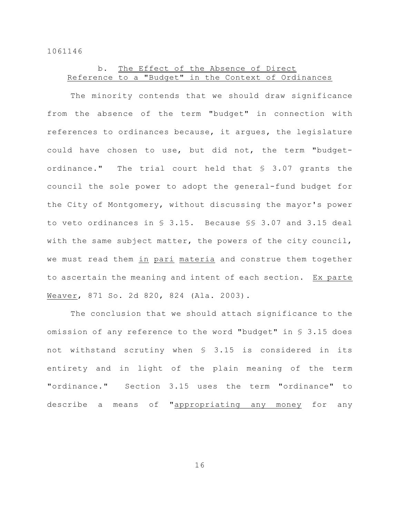# b. The Effect of the Absence of Direct Reference to a "Budget" in the Context of Ordinances

The minority contends that we should draw significance from the absence of the term "budget" in connection with references to ordinances because, it argues, the legislature could have chosen to use, but did not, the term "budgetordinance." The trial court held that § 3.07 grants the council the sole power to adopt the general-fund budget for the City of Montgomery, without discussing the mayor's power to veto ordinances in § 3.15. Because §§ 3.07 and 3.15 deal with the same subject matter, the powers of the city council, we must read them in pari materia and construe them together to ascertain the meaning and intent of each section. Ex parte Weaver, 871 So. 2d 820, 824 (Ala. 2003).

The conclusion that we should attach significance to the omission of any reference to the word "budget" in § 3.15 does not withstand scrutiny when § 3.15 is considered in its entirety and in light of the plain meaning of the term "ordinance." Section 3.15 uses the term "ordinance" to describe a means of "appropriating any money for any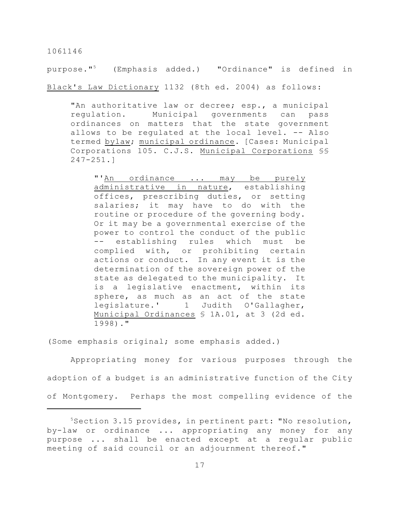purpose."<sup>5</sup> (Emphasis added.) "Ordinance" is defined in Black's Law Dictionary 1132 (8th ed. 2004) as follows:

"An authoritative law or decree; esp., a municipal regulation. Municipal governments can pass ordinances on matters that the state government allows to be regulated at the local level. -- Also termed bylaw; municipal ordinance. [Cases: Municipal Corporations 105. C.J.S. Municipal Corporations §§ 247-251.]

"'An ordinance ... may be purely administrative in nature, establishing offices, prescribing duties, or setting salaries; it may have to do with the routine or procedure of the governing body. Or it may be a governmental exercise of the power to control the conduct of the public -- establishing rules which must be complied with, or prohibiting certain actions or conduct. In any event it is the determination of the sovereign power of the state as delegated to the municipality. It is a legislative enactment, within its sphere, as much as an act of the state legislature.' 1 Judith O'Gallagher, Municipal Ordinances § 1A.01, at 3 (2d ed. 1998)."

(Some emphasis original; some emphasis added.)

Appropriating money for various purposes through the adoption of a budget is an administrative function of the City of Montgomery. Perhaps the most compelling evidence of the

 $5$ Section 3.15 provides, in pertinent part: "No resolution, by-law or ordinance ... appropriating any money for any purpose ... shall be enacted except at a regular public meeting of said council or an adjournment thereof."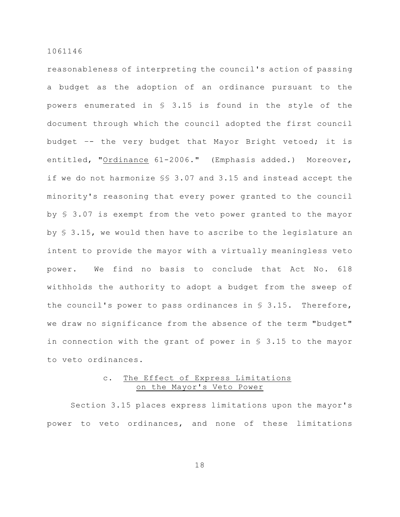reasonableness of interpreting the council's action of passing a budget as the adoption of an ordinance pursuant to the powers enumerated in § 3.15 is found in the style of the document through which the council adopted the first council budget –- the very budget that Mayor Bright vetoed; it is entitled, "Ordinance 61-2006." (Emphasis added.) Moreover, if we do not harmonize §§ 3.07 and 3.15 and instead accept the minority's reasoning that every power granted to the council by § 3.07 is exempt from the veto power granted to the mayor by § 3.15, we would then have to ascribe to the legislature an intent to provide the mayor with a virtually meaningless veto power. We find no basis to conclude that Act No. 618 withholds the authority to adopt a budget from the sweep of the council's power to pass ordinances in § 3.15. Therefore, we draw no significance from the absence of the term "budget" in connection with the grant of power in § 3.15 to the mayor to veto ordinances.

# c. The Effect of Express Limitations on the Mayor's Veto Power

Section 3.15 places express limitations upon the mayor's power to veto ordinances, and none of these limitations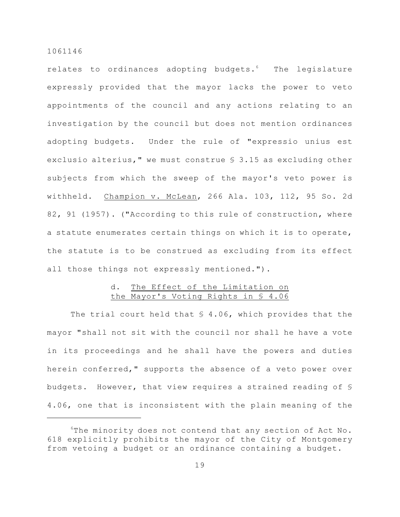relates to ordinances adopting budgets. $6$  The legislature expressly provided that the mayor lacks the power to veto appointments of the council and any actions relating to an investigation by the council but does not mention ordinances adopting budgets. Under the rule of "expressio unius est exclusio alterius," we must construe § 3.15 as excluding other subjects from which the sweep of the mayor's veto power is withheld. Champion v. McLean, 266 Ala. 103, 112, 95 So. 2d 82, 91 (1957). ("According to this rule of construction, where a statute enumerates certain things on which it is to operate, the statute is to be construed as excluding from its effect all those things not expressly mentioned.").

# d. The Effect of the Limitation on the Mayor's Voting Rights in § 4.06

The trial court held that  $$4.06$ , which provides that the mayor "shall not sit with the council nor shall he have a vote in its proceedings and he shall have the powers and duties herein conferred," supports the absence of a veto power over budgets. However, that view requires a strained reading of § 4.06, one that is inconsistent with the plain meaning of the

 $6$ The minority does not contend that any section of Act No. 618 explicitly prohibits the mayor of the City of Montgomery from vetoing a budget or an ordinance containing a budget.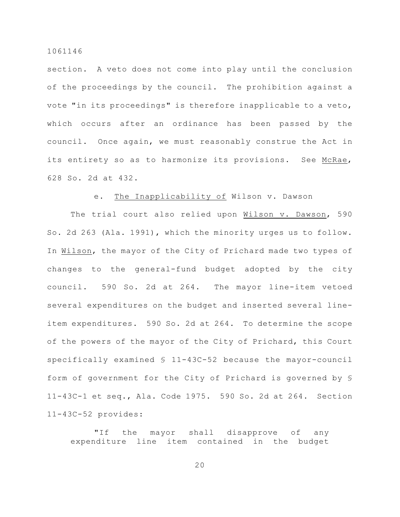section. A veto does not come into play until the conclusion of the proceedings by the council. The prohibition against a vote "in its proceedings" is therefore inapplicable to a veto, which occurs after an ordinance has been passed by the council. Once again, we must reasonably construe the Act in its entirety so as to harmonize its provisions. See McRae, 628 So. 2d at 432.

### e. The Inapplicability of Wilson v. Dawson

The trial court also relied upon Wilson v. Dawson, 590 So. 2d 263 (Ala. 1991), which the minority urges us to follow. In Wilson, the mayor of the City of Prichard made two types of changes to the general-fund budget adopted by the city council. 590 So. 2d at 264. The mayor line-item vetoed several expenditures on the budget and inserted several lineitem expenditures. 590 So. 2d at 264. To determine the scope of the powers of the mayor of the City of Prichard, this Court specifically examined § 11-43C-52 because the mayor-council form of government for the City of Prichard is governed by § 11-43C-1 et seq., Ala. Code 1975. 590 So. 2d at 264. Section 11-43C-52 provides:

"If the mayor shall disapprove of any expenditure line item contained in the budget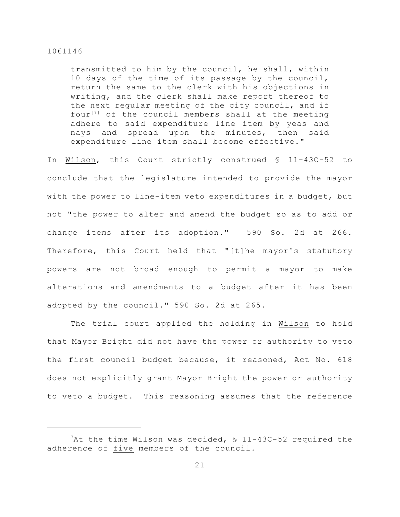transmitted to him by the council, he shall, within 10 days of the time of its passage by the council, return the same to the clerk with his objections in writing, and the clerk shall make report thereof to the next regular meeting of the city council, and if four<sup>[7]</sup> of the council members shall at the meeting adhere to said expenditure line item by yeas and nays and spread upon the minutes, then said expenditure line item shall become effective."

In Wilson, this Court strictly construed § 11-43C-52 to conclude that the legislature intended to provide the mayor with the power to line-item veto expenditures in a budget, but not "the power to alter and amend the budget so as to add or change items after its adoption." 590 So. 2d at 266. Therefore, this Court held that "[t]he mayor's statutory powers are not broad enough to permit a mayor to make alterations and amendments to a budget after it has been adopted by the council." 590 So. 2d at 265.

The trial court applied the holding in Wilson to hold that Mayor Bright did not have the power or authority to veto the first council budget because, it reasoned, Act No. 618 does not explicitly grant Mayor Bright the power or authority to veto a budget. This reasoning assumes that the reference

 $7$ At the time Wilson was decided,  $\frac{11-43C-52}{2}$  required the adherence of five members of the council.